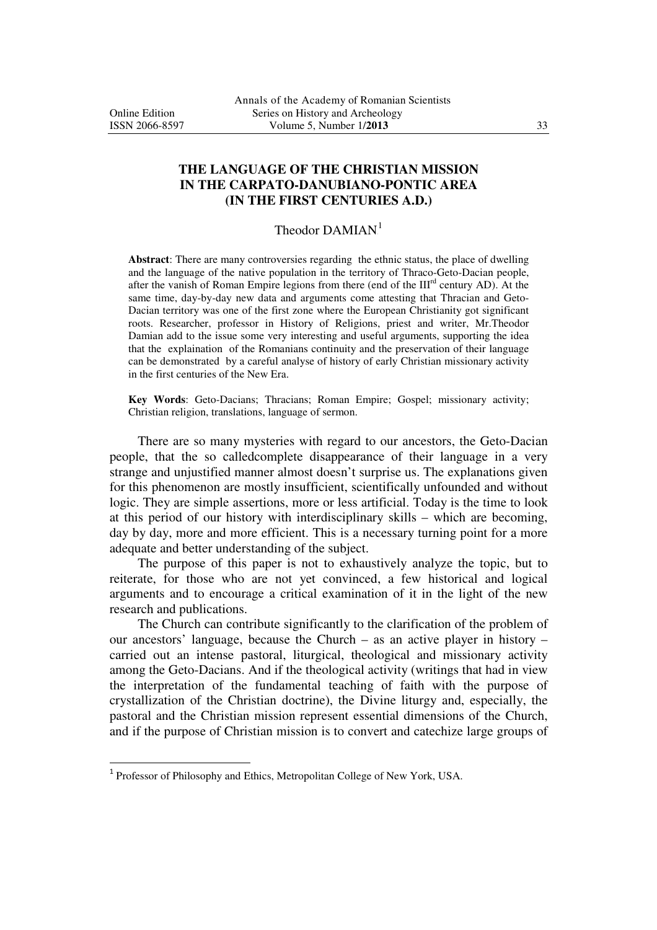j

## **THE LANGUAGE OF THE CHRISTIAN MISSION IN THE CARPATO-DANUBIANO-PONTIC AREA (IN THE FIRST CENTURIES A.D.)**

## Theodor  $DAMIAN^1$

**Abstract**: There are many controversies regarding the ethnic status, the place of dwelling and the language of the native population in the territory of Thraco-Geto-Dacian people, after the vanish of Roman Empire legions from there (end of the IIIrd century AD). At the same time, day-by-day new data and arguments come attesting that Thracian and Geto-Dacian territory was one of the first zone where the European Christianity got significant roots. Researcher, professor in History of Religions, priest and writer, Mr.Theodor Damian add to the issue some very interesting and useful arguments, supporting the idea that the explaination of the Romanians continuity and the preservation of their language can be demonstrated by a careful analyse of history of early Christian missionary activity in the first centuries of the New Era.

**Key Words**: Geto-Dacians; Thracians; Roman Empire; Gospel; missionary activity; Christian religion, translations, language of sermon.

There are so many mysteries with regard to our ancestors, the Geto-Dacian people, that the so calledcomplete disappearance of their language in a very strange and unjustified manner almost doesn't surprise us. The explanations given for this phenomenon are mostly insufficient, scientifically unfounded and without logic. They are simple assertions, more or less artificial. Today is the time to look at this period of our history with interdisciplinary skills – which are becoming, day by day, more and more efficient. This is a necessary turning point for a more adequate and better understanding of the subject.

 The purpose of this paper is not to exhaustively analyze the topic, but to reiterate, for those who are not yet convinced, a few historical and logical arguments and to encourage a critical examination of it in the light of the new research and publications.

 The Church can contribute significantly to the clarification of the problem of our ancestors' language, because the Church – as an active player in history – carried out an intense pastoral, liturgical, theological and missionary activity among the Geto-Dacians. And if the theological activity (writings that had in view the interpretation of the fundamental teaching of faith with the purpose of crystallization of the Christian doctrine), the Divine liturgy and, especially, the pastoral and the Christian mission represent essential dimensions of the Church, and if the purpose of Christian mission is to convert and catechize large groups of

<sup>&</sup>lt;sup>1</sup> Professor of Philosophy and Ethics, Metropolitan College of New York, USA.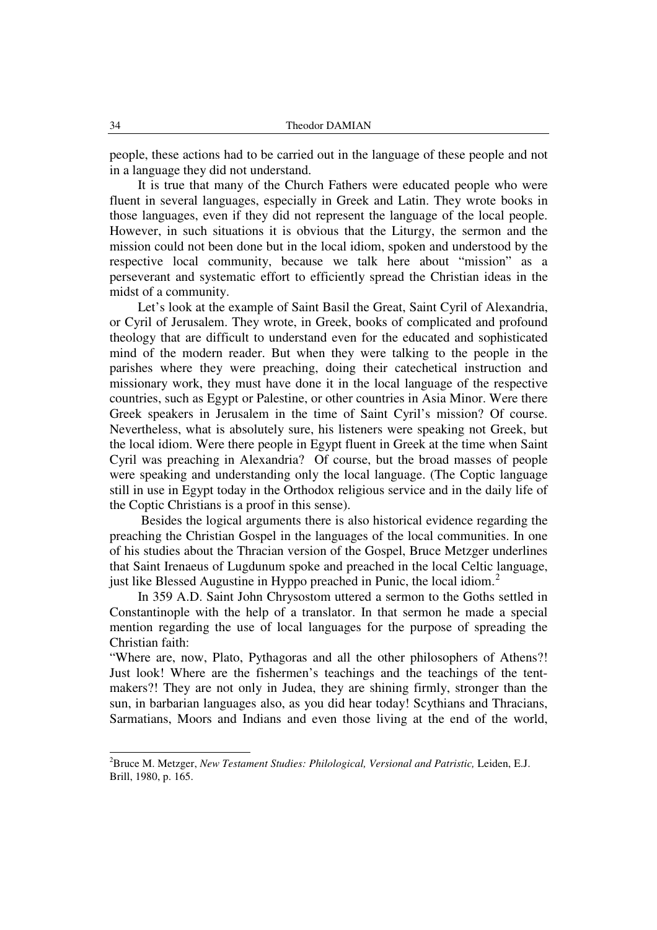people, these actions had to be carried out in the language of these people and not in a language they did not understand.

 It is true that many of the Church Fathers were educated people who were fluent in several languages, especially in Greek and Latin. They wrote books in those languages, even if they did not represent the language of the local people. However, in such situations it is obvious that the Liturgy, the sermon and the mission could not been done but in the local idiom, spoken and understood by the respective local community, because we talk here about "mission" as a perseverant and systematic effort to efficiently spread the Christian ideas in the midst of a community.

 Let's look at the example of Saint Basil the Great, Saint Cyril of Alexandria, or Cyril of Jerusalem. They wrote, in Greek, books of complicated and profound theology that are difficult to understand even for the educated and sophisticated mind of the modern reader. But when they were talking to the people in the parishes where they were preaching, doing their catechetical instruction and missionary work, they must have done it in the local language of the respective countries, such as Egypt or Palestine, or other countries in Asia Minor. Were there Greek speakers in Jerusalem in the time of Saint Cyril's mission? Of course. Nevertheless, what is absolutely sure, his listeners were speaking not Greek, but the local idiom. Were there people in Egypt fluent in Greek at the time when Saint Cyril was preaching in Alexandria? Of course, but the broad masses of people were speaking and understanding only the local language. (The Coptic language still in use in Egypt today in the Orthodox religious service and in the daily life of the Coptic Christians is a proof in this sense).

 Besides the logical arguments there is also historical evidence regarding the preaching the Christian Gospel in the languages of the local communities. In one of his studies about the Thracian version of the Gospel, Bruce Metzger underlines that Saint Irenaeus of Lugdunum spoke and preached in the local Celtic language, just like Blessed Augustine in Hyppo preached in Punic, the local idiom.<sup>2</sup>

 In 359 A.D. Saint John Chrysostom uttered a sermon to the Goths settled in Constantinople with the help of a translator. In that sermon he made a special mention regarding the use of local languages for the purpose of spreading the Christian faith:

"Where are, now, Plato, Pythagoras and all the other philosophers of Athens?! Just look! Where are the fishermen's teachings and the teachings of the tentmakers?! They are not only in Judea, they are shining firmly, stronger than the sun, in barbarian languages also, as you did hear today! Scythians and Thracians, Sarmatians, Moors and Indians and even those living at the end of the world,

-

<sup>2</sup>Bruce M. Metzger, *New Testament Studies: Philological, Versional and Patristic,* Leiden, E.J. Brill, 1980, p. 165.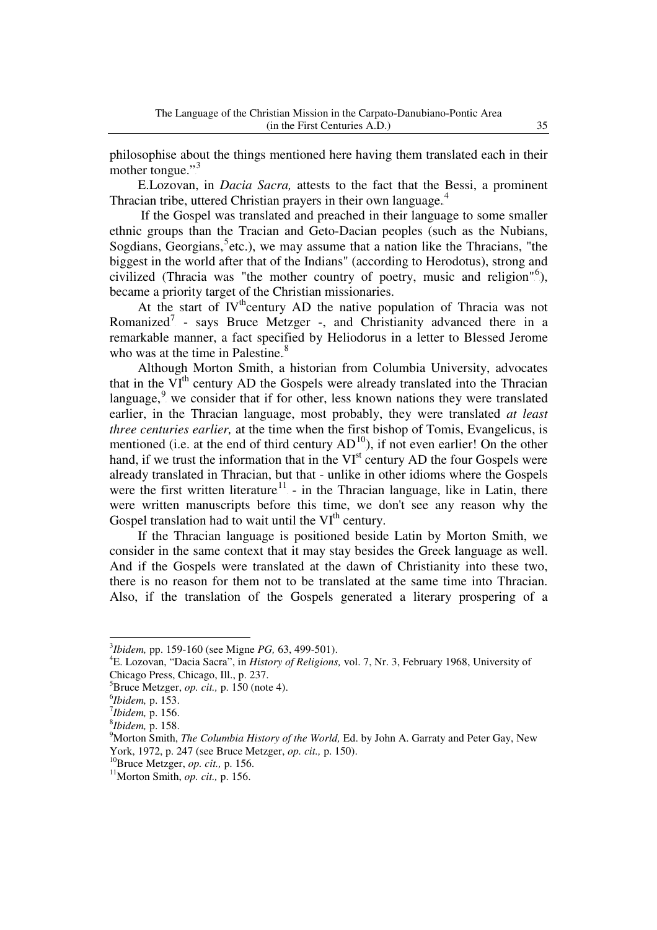philosophise about the things mentioned here having them translated each in their mother tongue." $\frac{3}{3}$ 

E.Lozovan, in *Dacia Sacra,* attests to the fact that the Bessi, a prominent Thracian tribe, uttered Christian prayers in their own language.<sup>4</sup>

If the Gospel was translated and preached in their language to some smaller ethnic groups than the Tracian and Geto-Dacian peoples (such as the Nubians, Sogdians, Georgians, <sup>5</sup>etc.), we may assume that a nation like the Thracians, "the biggest in the world after that of the Indians" (according to Herodotus), strong and civilized (Thracia was "the mother country of poetry, music and religion"<sup>6</sup>), became a priority target of the Christian missionaries.

At the start of  $IV<sup>th</sup>$ century AD the native population of Thracia was not Romanized<sup>7</sup> - says Bruce Metzger -, and Christianity advanced there in a remarkable manner, a fact specified by Heliodorus in a letter to Blessed Jerome who was at the time in Palestine.<sup>8</sup>

 Although Morton Smith, a historian from Columbia University, advocates that in the  $VI<sup>th</sup>$  century AD the Gospels were already translated into the Thracian language,  $\frac{9}{5}$  we consider that if for other, less known nations they were translated earlier, in the Thracian language, most probably, they were translated *at least three centuries earlier,* at the time when the first bishop of Tomis, Evangelicus, is mentioned (i.e. at the end of third century  $AD<sup>10</sup>$ ), if not even earlier! On the other hand, if we trust the information that in the VI<sup>st</sup> century AD the four Gospels were already translated in Thracian, but that - unlike in other idioms where the Gospels were the first written literature $11$  - in the Thracian language, like in Latin, there were written manuscripts before this time, we don't see any reason why the Gospel translation had to wait until the  $VI<sup>th</sup>$  century.

 If the Thracian language is positioned beside Latin by Morton Smith, we consider in the same context that it may stay besides the Greek language as well. And if the Gospels were translated at the dawn of Christianity into these two, there is no reason for them not to be translated at the same time into Thracian. Also, if the translation of the Gospels generated a literary prospering of a

j

<sup>3</sup> *Ibidem,* pp. 159-160 (see Migne *PG,* 63, 499-501).

<sup>4</sup>E. Lozovan, "Dacia Sacra", in *History of Religions,* vol. 7, Nr. 3, February 1968, University of Chicago Press, Chicago, Ill., p. 237.

<sup>5</sup>Bruce Metzger, *op. cit.,* p. 150 (note 4).

<sup>6</sup> *Ibidem,* p. 153.

<sup>7</sup> *Ibidem,* p. 156.

<sup>8</sup> *Ibidem,* p. 158.

<sup>9</sup>Morton Smith, *The Columbia History of the World,* Ed. by John A. Garraty and Peter Gay, New York, 1972, p. 247 (see Bruce Metzger, *op. cit.,* p. 150).

<sup>10</sup>Bruce Metzger, *op. cit.,* p. 156.

<sup>11</sup>Morton Smith, *op. cit.,* p. 156.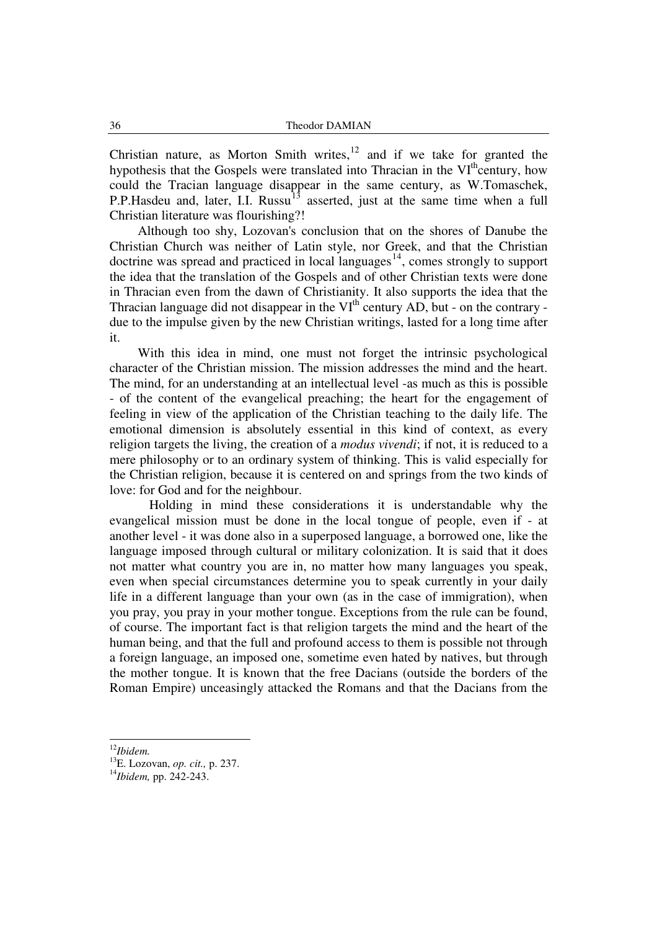Christian nature, as Morton Smith writes, $12$  and if we take for granted the hypothesis that the Gospels were translated into Thracian in the VI<sup>th</sup>century, how could the Tracian language disappear in the same century, as W.Tomaschek, P.P.Hasdeu and, later, I.I. Russu<sup>13</sup> asserted, just at the same time when a full Christian literature was flourishing?!

 Although too shy, Lozovan's conclusion that on the shores of Danube the Christian Church was neither of Latin style, nor Greek, and that the Christian doctrine was spread and practiced in local languages $<sup>14</sup>$ , comes strongly to support</sup> the idea that the translation of the Gospels and of other Christian texts were done in Thracian even from the dawn of Christianity. It also supports the idea that the Thracian language did not disappear in the  $VI<sup>th</sup>$  century AD, but - on the contrary due to the impulse given by the new Christian writings, lasted for a long time after it.

 With this idea in mind, one must not forget the intrinsic psychological character of the Christian mission. The mission addresses the mind and the heart. The mind, for an understanding at an intellectual level -as much as this is possible - of the content of the evangelical preaching; the heart for the engagement of feeling in view of the application of the Christian teaching to the daily life. The emotional dimension is absolutely essential in this kind of context, as every religion targets the living, the creation of a *modus vivendi*; if not, it is reduced to a mere philosophy or to an ordinary system of thinking. This is valid especially for the Christian religion, because it is centered on and springs from the two kinds of love: for God and for the neighbour.

Holding in mind these considerations it is understandable why the evangelical mission must be done in the local tongue of people, even if - at another level - it was done also in a superposed language, a borrowed one, like the language imposed through cultural or military colonization. It is said that it does not matter what country you are in, no matter how many languages you speak, even when special circumstances determine you to speak currently in your daily life in a different language than your own (as in the case of immigration), when you pray, you pray in your mother tongue. Exceptions from the rule can be found, of course. The important fact is that religion targets the mind and the heart of the human being, and that the full and profound access to them is possible not through a foreign language, an imposed one, sometime even hated by natives, but through the mother tongue. It is known that the free Dacians (outside the borders of the Roman Empire) unceasingly attacked the Romans and that the Dacians from the

-

<sup>12</sup>*Ibidem.*

<sup>13</sup>E. Lozovan, *op. cit.,* p. 237.

<sup>14</sup>*Ibidem,* pp. 242-243.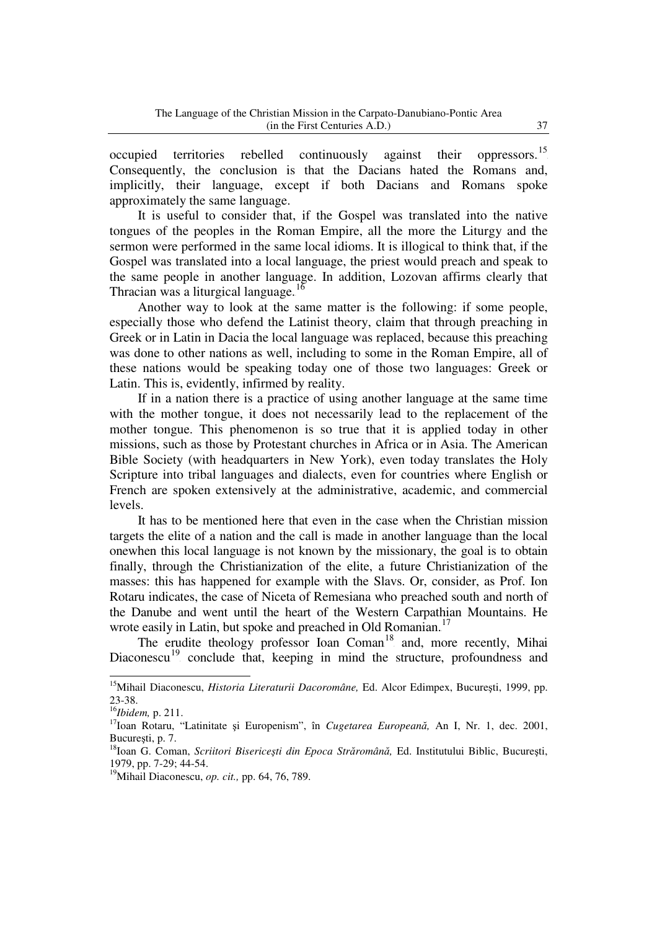occupied territories rebelled continuously against their 15 F Consequently, the conclusion is that the Dacians hated the Romans and, implicitly, their language, except if both Dacians and Romans spoke approximately the same language.

 It is useful to consider that, if the Gospel was translated into the native tongues of the peoples in the Roman Empire, all the more the Liturgy and the sermon were performed in the same local idioms. It is illogical to think that, if the Gospel was translated into a local language, the priest would preach and speak to the same people in another language. In addition, Lozovan affirms clearly that Thracian was a liturgical language.<sup>16</sup>

 Another way to look at the same matter is the following: if some people, especially those who defend the Latinist theory, claim that through preaching in Greek or in Latin in Dacia the local language was replaced, because this preaching was done to other nations as well, including to some in the Roman Empire, all of these nations would be speaking today one of those two languages: Greek or Latin. This is, evidently, infirmed by reality.

 If in a nation there is a practice of using another language at the same time with the mother tongue, it does not necessarily lead to the replacement of the mother tongue. This phenomenon is so true that it is applied today in other missions, such as those by Protestant churches in Africa or in Asia. The American Bible Society (with headquarters in New York), even today translates the Holy Scripture into tribal languages and dialects, even for countries where English or French are spoken extensively at the administrative, academic, and commercial levels.

 It has to be mentioned here that even in the case when the Christian mission targets the elite of a nation and the call is made in another language than the local onewhen this local language is not known by the missionary, the goal is to obtain finally, through the Christianization of the elite, a future Christianization of the masses: this has happened for example with the Slavs. Or, consider, as Prof. Ion Rotaru indicates, the case of Niceta of Remesiana who preached south and north of the Danube and went until the heart of the Western Carpathian Mountains. He wrote easily in Latin, but spoke and preached in Old Romanian.<sup>17</sup>

The erudite theology professor Ioan Coman<sup>18</sup> and, more recently, Mihai Diaconescu<sup>19</sup> conclude that, keeping in mind the structure, profoundness and

j

<sup>&</sup>lt;sup>15</sup>Mihail Diaconescu, *Historia Literaturii Dacoromâne*, Ed. Alcor Edimpex, București, 1999, pp. 23-38.

<sup>16</sup>*Ibidem,* p. 211.

<sup>17</sup>Ioan Rotaru, "Latinitate şi Europenism", în *Cugetarea Europeană,* An I, Nr. 1, dec. 2001, Bucureşti, p. 7.

<sup>18</sup>Ioan G. Coman, *Scriitori Bisericeşti din Epoca Străromână,* Ed. Institutului Biblic, Bucureşti, 1979, pp. 7-29; 44-54.

<sup>19</sup>Mihail Diaconescu, *op. cit.,* pp. 64, 76, 789.